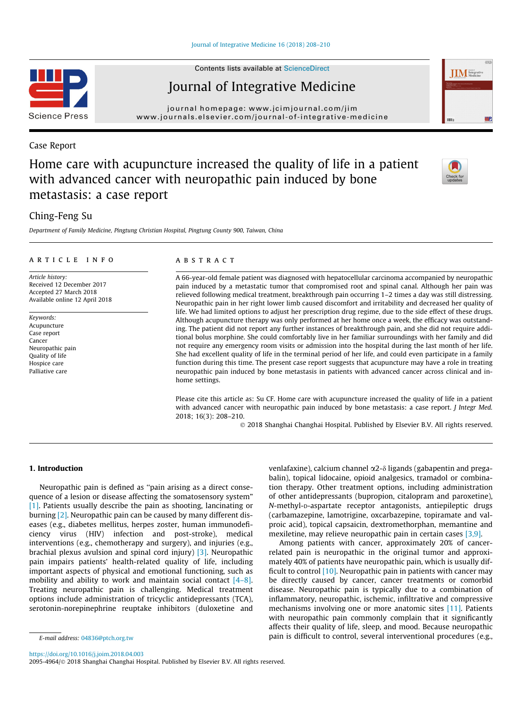Contents lists available at [ScienceDirect](http://www.sciencedirect.com/science/journal/20954964)

# Journal of Integrative Medicine

journal homepage: [www.jcimjournal.com/jim](http://www.jcimjournal.com/jim) [www.journals.elsevier.com/journal-of-integrative-medicine](http://www.journals.elsevier.com/journal-of-integrative-medicine)

## Case Report

# Home care with acupuncture increased the quality of life in a patient with advanced cancer with neuropathic pain induced by bone metastasis: a case report

# Ching-Feng Su

Department of Family Medicine, Pingtung Christian Hospital, Pingtung County 900, Taiwan, China

## article info

Article history: Received 12 December 2017 Accepted 27 March 2018 Available online 12 April 2018

Keywords: Acupuncture Case report Cancer Neuropathic pain Quality of life Hospice care Palliative care

#### **ABSTRACT**

A 66-year-old female patient was diagnosed with hepatocellular carcinoma accompanied by neuropathic pain induced by a metastatic tumor that compromised root and spinal canal. Although her pain was relieved following medical treatment, breakthrough pain occurring 1–2 times a day was still distressing. Neuropathic pain in her right lower limb caused discomfort and irritability and decreased her quality of life. We had limited options to adjust her prescription drug regime, due to the side effect of these drugs. Although acupuncture therapy was only performed at her home once a week, the efficacy was outstanding. The patient did not report any further instances of breakthrough pain, and she did not require additional bolus morphine. She could comfortably live in her familiar surroundings with her family and did not require any emergency room visits or admission into the hospital during the last month of her life. She had excellent quality of life in the terminal period of her life, and could even participate in a family function during this time. The present case report suggests that acupuncture may have a role in treating neuropathic pain induced by bone metastasis in patients with advanced cancer across clinical and inhome settings.

Please cite this article as: Su CF. Home care with acupuncture increased the quality of life in a patient with advanced cancer with neuropathic pain induced by bone metastasis: a case report. *I Integr Med.* 2018; 16(3): 208–210.

2018 Shanghai Changhai Hospital. Published by Elsevier B.V. All rights reserved.

## 1. Introduction

Neuropathic pain is defined as ''pain arising as a direct consequence of a lesion or disease affecting the somatosensory system" [\[1\]](#page-2-0). Patients usually describe the pain as shooting, lancinating or burning [\[2\]](#page-2-0). Neuropathic pain can be caused by many different diseases (e.g., diabetes mellitus, herpes zoster, human immunodeficiency virus (HIV) infection and post-stroke), medical interventions (e.g., chemotherapy and surgery), and injuries (e.g., brachial plexus avulsion and spinal cord injury) [\[3\].](#page-2-0) Neuropathic pain impairs patients' health-related quality of life, including important aspects of physical and emotional functioning, such as mobility and ability to work and maintain social contact [\[4–8\].](#page-2-0) Treating neuropathic pain is challenging. Medical treatment options include administration of tricyclic antidepressants (TCA), serotonin-norepinephrine reuptake inhibitors (duloxetine and

venlafaxine), calcium channel  $\alpha$ 2- $\delta$  ligands (gabapentin and pregabalin), topical lidocaine, opioid analgesics, tramadol or combination therapy. Other treatment options, including administration of other antidepressants (bupropion, citalopram and paroxetine), N-methyl-D-aspartate receptor antagonists, antiepileptic drugs (carbamazepine, lamotrigine, oxcarbazepine, topiramate and valproic acid), topical capsaicin, dextromethorphan, memantine and mexiletine, may relieve neuropathic pain in certain cases [\[3,9\].](#page-2-0)

Among patients with cancer, approximately 20% of cancerrelated pain is neuropathic in the original tumor and approximately 40% of patients have neuropathic pain, which is usually difficult to control  $[10]$ . Neuropathic pain in patients with cancer may be directly caused by cancer, cancer treatments or comorbid disease. Neuropathic pain is typically due to a combination of inflammatory, neuropathic, ischemic, infiltrative and compressive mechanisms involving one or more anatomic sites [\[11\]](#page-2-0). Patients with neuropathic pain commonly complain that it significantly affects their quality of life, sleep, and mood. Because neuropathic pain is difficult to control, several interventional procedures (e.g.,

<https://doi.org/10.1016/j.joim.2018.04.003> 2095-4964/© 2018 Shanghai Changhai Hospital. Published by Elsevier B.V. All rights reserved.







E-mail address: [04836@ptch.org.tw](mailto:04836@ptch.org.tw)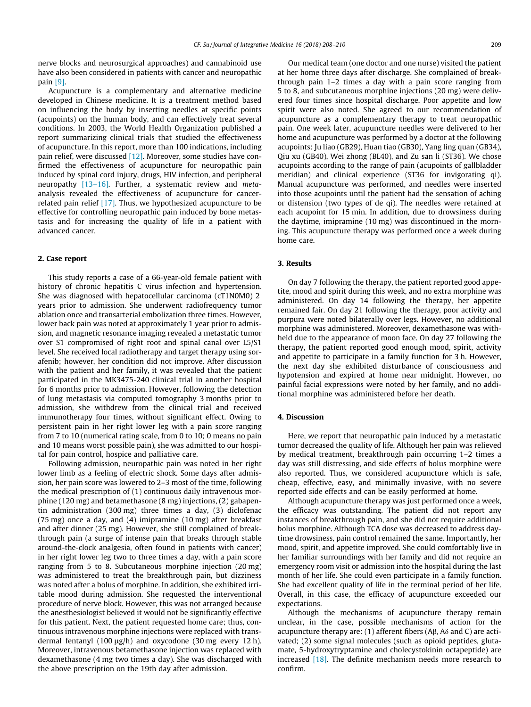nerve blocks and neurosurgical approaches) and cannabinoid use have also been considered in patients with cancer and neuropathic pain [\[9\]](#page-2-0).

Acupuncture is a complementary and alternative medicine developed in Chinese medicine. It is a treatment method based on influencing the body by inserting needles at specific points (acupoints) on the human body, and can effectively treat several conditions. In 2003, the World Health Organization published a report summarizing clinical trials that studied the effectiveness of acupuncture. In this report, more than 100 indications, including pain relief, were discussed [\[12\]](#page-2-0). Moreover, some studies have confirmed the effectiveness of acupuncture for neuropathic pain induced by spinal cord injury, drugs, HIV infection, and peripheral neuropathy [\[13–16\].](#page-2-0) Further, a systematic review and metaanalysis revealed the effectiveness of acupuncture for cancerrelated pain relief [\[17\].](#page-2-0) Thus, we hypothesized acupuncture to be effective for controlling neuropathic pain induced by bone metastasis and for increasing the quality of life in a patient with advanced cancer.

### 2. Case report

This study reports a case of a 66-year-old female patient with history of chronic hepatitis C virus infection and hypertension. She was diagnosed with hepatocellular carcinoma (cT1N0M0) 2 years prior to admission. She underwent radiofrequency tumor ablation once and transarterial embolization three times. However, lower back pain was noted at approximately 1 year prior to admission, and magnetic resonance imaging revealed a metastatic tumor over S1 compromised of right root and spinal canal over L5/S1 level. She received local radiotherapy and target therapy using sorafenib; however, her condition did not improve. After discussion with the patient and her family, it was revealed that the patient participated in the MK3475-240 clinical trial in another hospital for 6 months prior to admission. However, following the detection of lung metastasis via computed tomography 3 months prior to admission, she withdrew from the clinical trial and received immunotherapy four times, without significant effect. Owing to persistent pain in her right lower leg with a pain score ranging from 7 to 10 (numerical rating scale, from 0 to 10; 0 means no pain and 10 means worst possible pain), she was admitted to our hospital for pain control, hospice and palliative care.

Following admission, neuropathic pain was noted in her right lower limb as a feeling of electric shock. Some days after admission, her pain score was lowered to 2–3 most of the time, following the medical prescription of (1) continuous daily intravenous morphine (120 mg) and betamethasone (8 mg) injections, (2) gabapentin administration (300 mg) three times a day, (3) diclofenac (75 mg) once a day, and (4) imipramine (10 mg) after breakfast and after dinner (25 mg). However, she still complained of breakthrough pain (a surge of intense pain that breaks through stable around-the-clock analgesia, often found in patients with cancer) in her right lower leg two to three times a day, with a pain score ranging from 5 to 8. Subcutaneous morphine injection (20 mg) was administered to treat the breakthrough pain, but dizziness was noted after a bolus of morphine. In addition, she exhibited irritable mood during admission. She requested the interventional procedure of nerve block. However, this was not arranged because the anesthesiologist believed it would not be significantly effective for this patient. Next, the patient requested home care; thus, continuous intravenous morphine injections were replaced with transdermal fentanyl (100  $\mu$ g/h) and oxycodone (30 mg every 12 h). Moreover, intravenous betamethasone injection was replaced with dexamethasone (4 mg two times a day). She was discharged with the above prescription on the 19th day after admission.

Our medical team (one doctor and one nurse) visited the patient at her home three days after discharge. She complained of breakthrough pain 1–2 times a day with a pain score ranging from 5 to 8, and subcutaneous morphine injections (20 mg) were delivered four times since hospital discharge. Poor appetite and low spirit were also noted. She agreed to our recommendation of acupuncture as a complementary therapy to treat neuropathic pain. One week later, acupuncture needles were delivered to her home and acupuncture was performed by a doctor at the following acupoints: Ju liao (GB29), Huan tiao (GB30), Yang ling quan (GB34), Qiu xu (GB40), Wei zhong (BL40), and Zu san li (ST36). We chose acupoints according to the range of pain (acupoints of gallbladder meridian) and clinical experience (ST36 for invigorating qi). Manual acupuncture was performed, and needles were inserted into those acupoints until the patient had the sensation of aching or distension (two types of de qi). The needles were retained at each acupoint for 15 min. In addition, due to drowsiness during the daytime, imipramine (10 mg) was discontinued in the morning. This acupuncture therapy was performed once a week during home care.

#### 3. Results

On day 7 following the therapy, the patient reported good appetite, mood and spirit during this week, and no extra morphine was administered. On day 14 following the therapy, her appetite remained fair. On day 21 following the therapy, poor activity and purpura were noted bilaterally over legs. However, no additional morphine was administered. Moreover, dexamethasone was withheld due to the appearance of moon face. On day 27 following the therapy, the patient reported good enough mood, spirit, activity and appetite to participate in a family function for 3 h. However, the next day she exhibited disturbance of consciousness and hypotension and expired at home near midnight. However, no painful facial expressions were noted by her family, and no additional morphine was administered before her death.

#### 4. Discussion

Here, we report that neuropathic pain induced by a metastatic tumor decreased the quality of life. Although her pain was relieved by medical treatment, breakthrough pain occurring 1–2 times a day was still distressing, and side effects of bolus morphine were also reported. Thus, we considered acupuncture which is safe, cheap, effective, easy, and minimally invasive, with no severe reported side effects and can be easily performed at home.

Although acupuncture therapy was just performed once a week, the efficacy was outstanding. The patient did not report any instances of breakthrough pain, and she did not require additional bolus morphine. Although TCA dose was decreased to address daytime drowsiness, pain control remained the same. Importantly, her mood, spirit, and appetite improved. She could comfortably live in her familiar surroundings with her family and did not require an emergency room visit or admission into the hospital during the last month of her life. She could even participate in a family function. She had excellent quality of life in the terminal period of her life. Overall, in this case, the efficacy of acupuncture exceeded our expectations.

Although the mechanisms of acupuncture therapy remain unclear, in the case, possible mechanisms of action for the acupuncture therapy are: (1) afferent fibers ( $AB$ ,  $A\delta$  and C) are activated; (2) some signal molecules (such as opioid peptides, glutamate, 5-hydroxytryptamine and cholecystokinin octapeptide) are increased [\[18\].](#page-2-0) The definite mechanism needs more research to confirm.